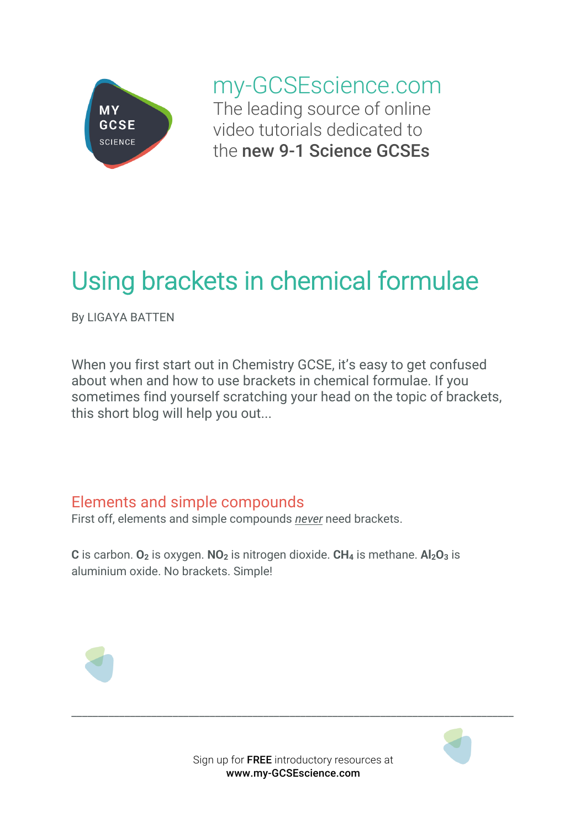

my-GCSEscience.com The leading source of online video tutorials dedicated to the new 9-1 Science GCSEs

## Using brackets in chemical formulae

By LIGAYA BATTEN

When you first start out in Chemistry GCSE, it's easy to get confused about when and how to use brackets in chemical formulae. If you sometimes find yourself scratching your head on the topic of brackets, this short blog will help you out...

## Elements and simple compounds

First off, elements and simple compounds *never* need brackets.

**C** is carbon.  $O_2$  is oxygen.  $NO_2$  is nitrogen dioxide.  $CH_4$  is methane.  $Al_2O_3$  is aluminium oxide. No brackets. Simple!





\_\_\_\_\_\_\_\_\_\_\_\_\_\_\_\_\_\_\_\_\_\_\_\_\_\_\_\_\_\_\_\_\_\_\_\_\_\_\_\_\_\_\_\_\_\_\_\_\_\_\_\_\_\_\_\_\_\_\_\_\_\_\_\_\_\_\_\_\_\_\_\_\_\_\_\_\_\_\_\_\_\_\_